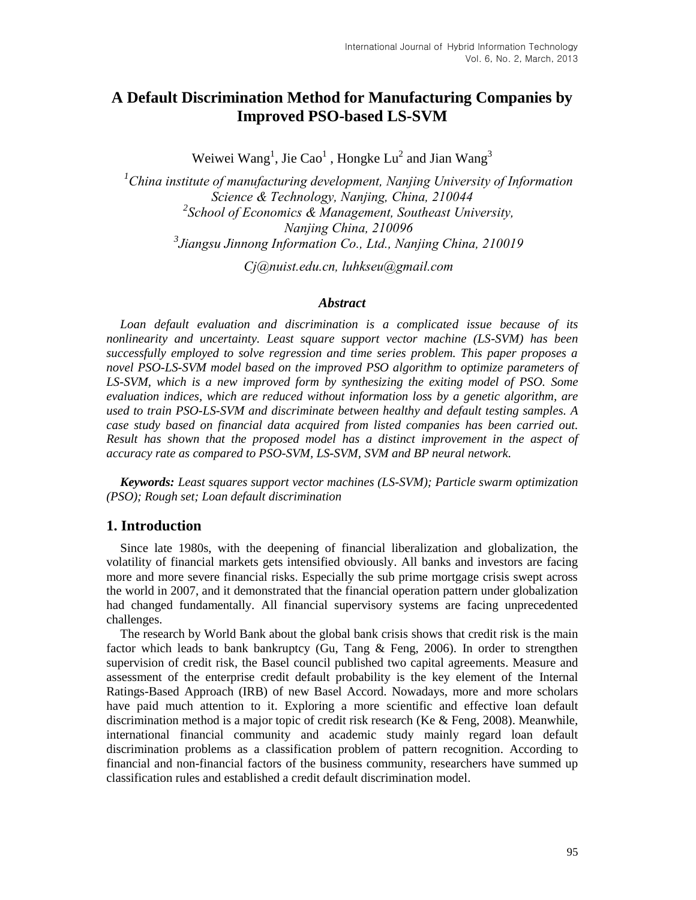# **A Default Discrimination Method for Manufacturing Companies by Improved PSO-based LS-SVM**

Weiwei Wang<sup>1</sup>, Jie Cao<sup>1</sup>, Hongke Lu<sup>2</sup> and Jian Wang<sup>3</sup>

*<sup>1</sup>China institute of manufacturing development, Nanjing University of Information Science & Technology, Nanjing, China, 210044 2 School of Economics & Management, Southeast University, Nanjing China, 210096 3 Jiangsu Jinnong Information Co., Ltd., Nanjing China, 210019*

*Cj@nuist.edu.cn, luhkseu@gmail.com*

## *Abstract*

*Loan default evaluation and discrimination is a complicated issue because of its nonlinearity and uncertainty. Least square support vector machine (LS-SVM) has been successfully employed to solve regression and time series problem. This paper proposes a novel PSO-LS-SVM model based on the improved PSO algorithm to optimize parameters of LS-SVM, which is a new improved form by synthesizing the exiting model of PSO. Some evaluation indices, which are reduced without information loss by a genetic algorithm, are used to train PSO-LS-SVM and discriminate between healthy and default testing samples. A case study based on financial data acquired from listed companies has been carried out. Result has shown that the proposed model has a distinct improvement in the aspect of accuracy rate as compared to PSO-SVM, LS-SVM, SVM and BP neural network.*

*Keywords: Least squares support vector machines (LS-SVM); Particle swarm optimization (PSO); Rough set; Loan default discrimination*

# **1. Introduction**

Since late 1980s, with the deepening of financial liberalization and globalization, the volatility of financial markets gets intensified obviously. All banks and investors are facing more and more severe financial risks. Especially the sub prime mortgage crisis swept across the world in 2007, and it demonstrated that the financial operation pattern under globalization had changed fundamentally. All financial supervisory systems are facing unprecedented challenges.

The research by World Bank about the global bank crisis shows that credit risk is the main factor which leads to bank bankruptcy (Gu, Tang & Feng, 2006). In order to strengthen supervision of credit risk, the Basel council published two capital agreements. Measure and assessment of the enterprise credit default probability is the key element of the Internal Ratings-Based Approach (IRB) of new Basel Accord. Nowadays, more and more scholars have paid much attention to it. Exploring a more scientific and effective loan default discrimination method is a major topic of credit risk research (Ke & Feng, 2008). Meanwhile, international financial community and academic study mainly regard loan default discrimination problems as a classification problem of pattern recognition. According to financial and non-financial factors of the business community, researchers have summed up classification rules and established a credit default discrimination model.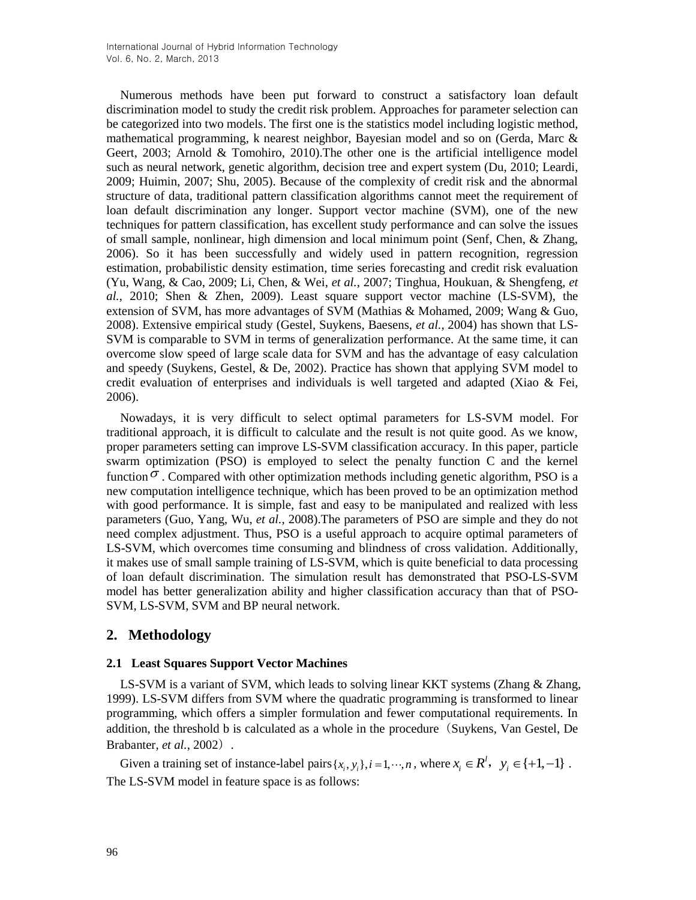Numerous methods have been put forward to construct a satisfactory loan default discrimination model to study the credit risk problem. Approaches for parameter selection can be categorized into two models. The first one is the statistics model including logistic method, [mathematical programming,](http://dict.cnki.net/dict_result.aspx?searchword=%e6%95%b0%e5%ad%a6%e8%a7%84%e5%88%92&tjType=sentence&style=&t=mathematical+programming) k nearest neighbor, Bayesian model and so on (Gerda, Marc  $\&$ Geert, 2003; Arnold & Tomohiro, 2010).The other one is the artificial intelligence model such as neural network, genetic algorithm, decision tree and expert system (Du, 2010; Leardi, 2009; Huimin, 2007; Shu, 2005). Because of the complexity of credit risk and the abnormal structure of data, traditional pattern classification algorithms cannot meet the requirement of loan default discrimination any longer. Support vector machine (SVM), one of the new techniques for pattern classification, has excellent study performance and can solve the issues of small sample, nonlinear, high dimension and local minimum point (Senf, Chen, & Zhang, 2006). So it has been successfully and widely used in pattern recognition, regression estimation, probabilistic density estimation, time series forecasting and credit risk evaluation (Yu, Wang, & Cao, 2009; Li, Chen, & Wei, *et al.*, 2007; Tinghua, Houkuan, & Shengfeng, *et al.*, 2010; Shen & Zhen, 2009). Least square support vector machine (LS-SVM), the extension of SVM, has more advantages of SVM (Mathias & Mohamed, 2009; Wang & Guo, 2008). Extensive empirical study (Gestel, Suykens, Baesens, *et al.*, 2004) has shown that LS-SVM is comparable to SVM in terms of generalization performance. At the same time, it can overcome slow speed of large scale data for SVM and has the advantage of easy calculation and speedy (Suykens, Gestel, & De, 2002). Practice has shown that applying SVM model to credit evaluation of enterprises and individuals is well targeted and adapted (Xiao & Fei, 2006).

Nowadays, it is very difficult to select optimal parameters for LS-SVM model. For traditional approach, it is difficult to calculate and the result is not quite good. As we know, proper parameters setting can improve LS-SVM classification accuracy. In this paper, particle swarm optimization (PSO) is employed to select the penalty function C and the kernel function  $\sigma$ . Compared with other optimization methods including genetic algorithm, PSO is a new computation intelligence technique, which has been proved to be an optimization method with good performance. It is simple, fast and easy to be manipulated and realized with less parameters (Guo, Yang, Wu, *et al.*, 2008).The parameters of PSO are simple and they do not need complex adjustment. Thus, PSO is a useful approach to acquire optimal parameters of LS-SVM, which overcomes time consuming and blindness of cross validation. Additionally, it makes use of small sample training of LS-SVM, which is quite beneficial to data processing of loan default discrimination. The simulation result has demonstrated that PSO-LS-SVM model has better generalization ability and higher classification accuracy than that of PSO-SVM, LS-SVM, SVM and BP neural network.

# **2. Methodology**

#### **2.1 Least Squares Support Vector Machines**

LS-SVM is a variant of SVM, which leads to solving linear KKT systems (Zhang & Zhang, 1999). LS-SVM differs from SVM where the quadratic programming is transformed to linear programming, which offers a simpler formulation and fewer computational requirements. In addition, the threshold b is calculated as a whole in the procedure(Suykens, Van Gestel, De Brabanter, *et al.*, 2002).

Given a training set of instance-label pairs  $\{x_i, y_i\}$ ,  $i = 1, \dots, n$ , where  $x_i \in R^l$ ,  $y_i \in \{+1, -1\}$ . The LS-SVM model in feature space is as follows: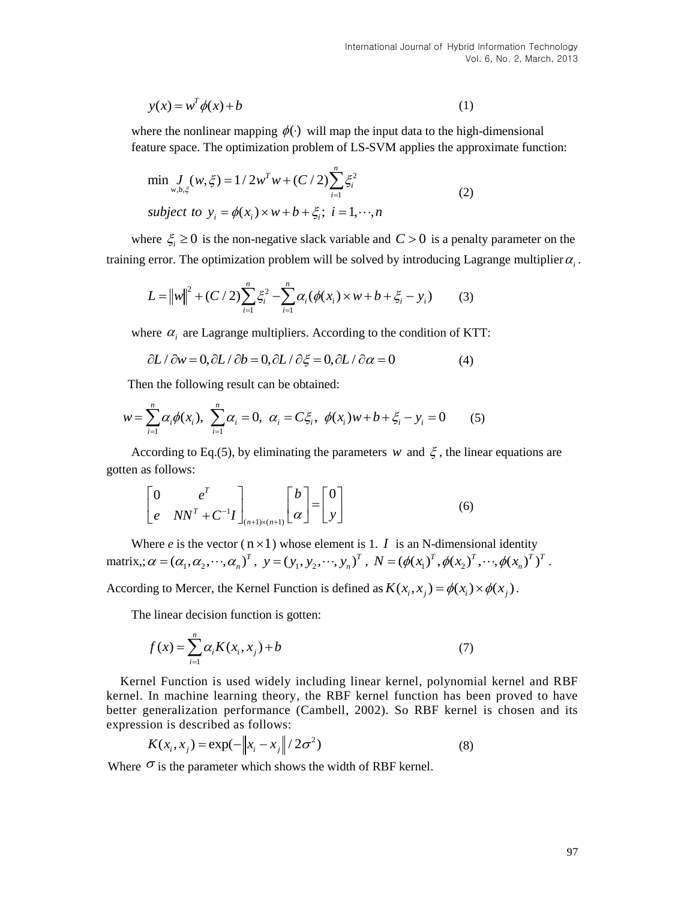$$
y(x) = w^T \phi(x) + b \tag{1}
$$

where the nonlinear mapping  $\phi(\cdot)$  will map the input data to the high-dimensional feature space. The optimization problem of LS-SVM applies the approximate function:

$$
\min_{w,b,\xi} w, \xi = 1/2w^T w + (C/2) \sum_{i=1}^n \xi_i^2
$$
\n
$$
\text{subject to } y_i = \phi(x_i) \times w + b + \xi_i; \ i = 1, \dots, n
$$
\n
$$
(2)
$$

where  $\xi_i \geq 0$  is the non-negative slack variable and  $C > 0$  is a penalty parameter on the

training error. The optimization problem will be solved by introducing Lagrange multiplier 
$$
\alpha_i
$$
.  
\n
$$
L = ||w||^2 + (C/2) \sum_{i=1}^n \xi_i^2 - \sum_{i=1}^n \alpha_i (\phi(x_i) \times w + b + \xi_i - y_i)
$$
 (3)

where 
$$
\alpha_i
$$
 are Lagrange multipliers. According to the condition of KTT:  
\n $\partial L / \partial w = 0, \partial L / \partial b = 0, \partial L / \partial \xi = 0, \partial L / \partial \alpha = 0$  (4)

$$
\partial L / \partial w = 0, \partial L / \partial b = 0, \partial L / \partial \xi = 0, \partial L / \partial \alpha = 0 \tag{4}
$$
  
Then the following result can be obtained:  

$$
w = \sum_{i=1}^{n} \alpha_i \phi(x_i), \sum_{i=1}^{n} \alpha_i = 0, \ \alpha_i = C\xi_i, \ \phi(x_i)w + b + \xi_i - y_i = 0 \tag{5}
$$

According to Eq.(5), by [eliminating](javascript:showjdsw() the parameters w and  $\xi$ , the linear equations are gotten as follows:

$$
\begin{bmatrix} 0 & e^T \ e & NN^T + C^{-1}I \end{bmatrix}_{(n+1)\times(n+1)} \begin{bmatrix} b \ \alpha \end{bmatrix} = \begin{bmatrix} 0 \ y \end{bmatrix}
$$
 (6)

Where *e* is the vector  $(n \times 1)$  whose element is 1. *I* is an N-dimensional identity Where *e* is the vector  $(n \times 1)$  whose element is 1. *I* is an N-dimensional identity matrix,;  $\alpha = (\alpha_1, \alpha_2, \dots, \alpha_n)^T$ ,  $y = (y_1, y_2, \dots, y_n)^T$ ,  $N = (\phi(x_1)^T, \phi(x_2)^T, \dots, \phi(x_n)^T)^T$ .

According to Mercer, the Kernel Function is defined as  $K(x_i, x_j) = \phi(x_i) \times \phi(x_j)$ .

The linear decision function is gotten:

$$
f(x) = \sum_{i=1}^{n} \alpha_i K(x_i, x_j) + b
$$
 (7)

(*x*) =  $v^2 \phi(x) + b$ <br>
(**i**) the nonlinear mapping  $\phi(x)$  will map the input data to the high-dimensional<br>
re face. The optimization problem of LS-SVM applies the approximate function:<br>
in  $J_n(w, \xi) = 1/2w^7w + (C/2)\sum_{i=1}^4 z_i^$ Kernel Function is used widely including [linear kernel,](javascript:showjdsw() [polynomial kernel](http://dict.cnki.net/dict_result.aspx?searchword=%e5%a4%9a%e9%a1%b9%e5%bc%8f%e6%a0%b8&tjType=sentence&style=&t=polynomial+kernel) and RBF kernel. In machine learning theory, the RBF kernel function has been proved to have better generalization performance (Cambell, 2002). So RBF kernel is chosen and its

expression is described as follows:  
\n
$$
K(x_i, x_j) = \exp(-\left\|x_i - x_j\right\|/2\sigma^2)
$$
\n(8)

Where  $\sigma$  is the parameter which shows the width of RBF kernel.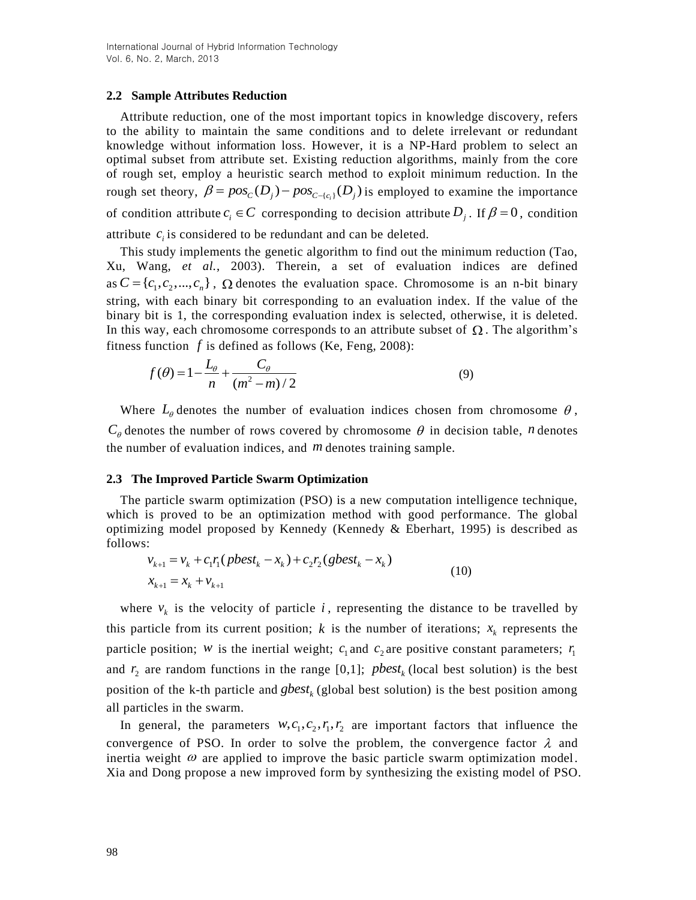#### **2.2 Sample Attributes Reduction**

Attribute reduction, one of the most important topics in knowledge discovery, refers to the ability to maintain the same conditions and to delete irrelevant or redundant knowledge without information loss. However, it is a NP-Hard problem to select an optimal subset from attribute set. Existing reduction algorithms, mainly from the core of rough set, employ a heuristic search method to exploit minimum reduction. In the of rough set, employ a heuristic search method to exploit minimum reduction. In the rough set theory,  $\beta = pos<sub>C</sub>(D<sub>j</sub>) - pos<sub>C-(c<sub>i</sub>)</sub>(D<sub>j</sub>)$  is employed to examine the importance of condition attribute  $c_i \in C$  corresponding to decision attribute  $D_j$ . If  $\beta = 0$ , condition attribute  $c_i$  is considered to be redundant and can be deleted.

This study implements the genetic algorithm to find out the minimum reduction (Tao, Xu, Wang, *et al.*, 2003). Therein, a set of evaluation indices are defined as  $C = \{c_1, c_2, ..., c_n\}$ ,  $\Omega$  denotes the evaluation space. Chromosome is an n-bit binary string, with each binary bit corresponding to an evaluation index. If the value of the binary bit is 1, the corresponding evaluation index is selected, otherwise, it is deleted. In this way, each chromosome corresponds to an attribute subset of  $\Omega$ . The algorithm's

fitness function f is defined as follows (Ke, Feng, 2008):  
\n
$$
f(\theta) = 1 - \frac{L_{\theta}}{n} + \frac{C_{\theta}}{(m^2 - m)/2}
$$
\n(9)

Where  $L_{\theta}$  denotes the number of evaluation indices chosen from chromosome  $\theta$ ,  $C_{\theta}$  denotes the number of rows covered by chromosome  $\theta$  in decision table, *n* denotes the number of evaluation indices, and *m* denotes training sample.

#### **2.3 The Improved Particle Swarm Optimization**

The particle swarm optimization (PSO) is a new computation intelligence technique, which is proved to be an optimization method with good performance. The global optimizing model proposed by Kennedy (Kennedy & Eberhart, 1995) is described as follows:<br>  $v_{k+1} = v_k + c_1 r_1 (pbest_k - x_k) + c_2 r_2 (gbest_k - x_k)$  (10) follows:

$$
v_{k+1} = v_k + c_1 r_1 (pbest_k - x_k) + c_2 r_2 (gbest_k - x_k)
$$
  

$$
x_{k+1} = x_k + v_{k+1}
$$
 (10)

where  $v_k$  is the velocity of particle i, representing the distance to be travelled by this particle from its current position;  $k$  is the number of iterations;  $x_k$  represents the particle position; *w* is the inertial weight;  $c_1$  and  $c_2$  are positive constant parameters;  $r_1$ and  $r_2$  are random functions in the range [0,1]; *pbest<sub>k</sub>* (local best solution) is the best position of the k-th particle and  $gbest_k$  (global best solution) is the best position among all particles in the swarm.

In general, the parameters  $w, c_1, c_2, r_1, r_2$  are important factors that influence the convergence of PSO. In order to solve the problem, the convergence factor  $\lambda$  and inertia weight  $\omega$  are applied to improve the basic particle swarm optimization model. Xia and Dong propose a new improved form by synthesizing the existing model of PSO.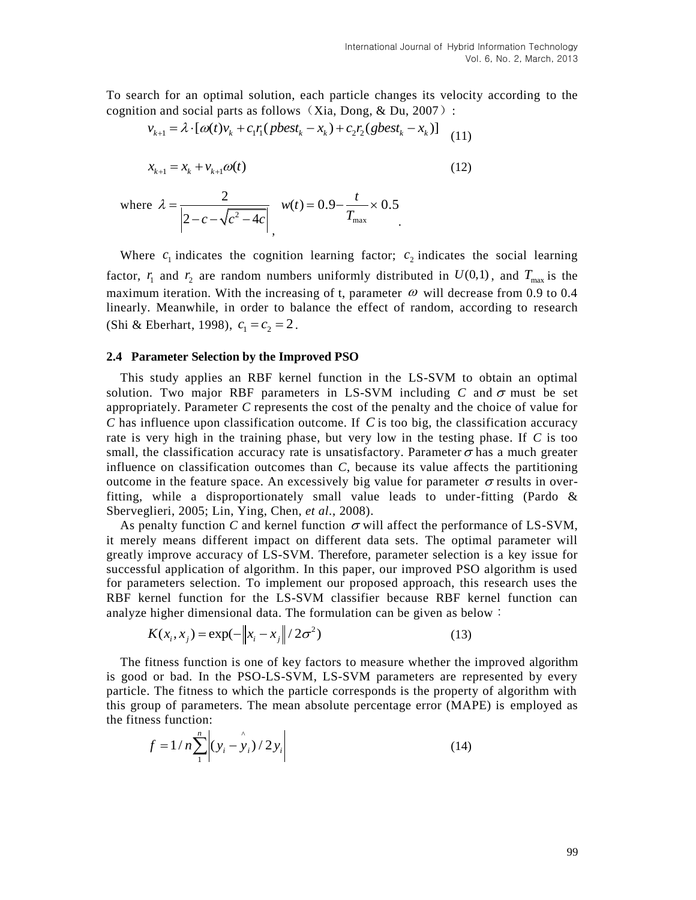To search for an optimal solution, each particle changes its velocity according to the cognition and social parts as follows (Xia, Dong,  $&$  Du, 2007): ch for an optimal solution, each particle changes its velon and social parts as follows (Xia, Dong, & Du, 2007):<br>  $v_{k+1} = \lambda \cdot [\omega(t)v_k + c_1 r_1(\text{pbest}_k - x_k) + c_2 r_2(\text{gbest}_k - x_k)]$  (1)

$$
v_{k+1} = \lambda \cdot [\omega(t)v_k + c_1 r_1 (pbest_k - x_k) + c_2 r_2 (sbest_k - x_k)]
$$
 (11)

$$
x_{k+1} = x_k + v_{k+1}\omega(t)
$$
 (12)

where 
$$
\lambda = \frac{2}{\left| 2 - c - \sqrt{c^2 - 4c} \right|}
$$
,  $w(t) = 0.9 - \frac{t}{T_{\text{max}}} \times 0.5$ 

Where  $c_1$  indicates the cognition learning factor;  $c_2$  indicates the social learning factor,  $r_1$  and  $r_2$  are random numbers uniformly distributed in  $U(0,1)$ , and  $T_{\text{max}}$  is the maximum iteration. With the increasing of t, parameter  $\omega$  will decrease from 0.9 to 0.4 linearly. Meanwhile, in order to balance the effect of random, according to research (Shi & Eberhart, 1998),  $c_1 = c_2 = 2$ .

#### **2.4 Parameter Selection by the Improved PSO**

This study applies an RBF kernel function in the LS-SVM to obtain an optimal solution. Two major RBF parameters in LS-SVM including  $C$  and  $\sigma$  must be set appropriately. Parameter *C* represents the cost of the penalty and the choice of value for *C* has influence upon classification outcome. If *C* is too big, the classification accuracy rate is very high in the training phase, but very low in the testing phase. If *C* is too small, the classification accuracy rate is unsatisfactory. Parameter  $\sigma$  has a much greater influence on classification outcomes than *C*, because its value affects the partitioning outcome in the feature space. An excessively big value for parameter  $\sigma$  results in overfitting, while a disproportionately small value leads to under-fitting (Pardo  $\&$ Sberveglieri, 2005; Lin, Ying, Chen, *et al.*, 2008).

As penalty function C and kernel function  $\sigma$  will affect the performance of LS-SVM, it merely means different impact on different data sets. The optimal parameter will greatly improve accuracy of LS-SVM. Therefore, parameter selection is a key issue for successful application of algorithm. In this paper, our improved PSO algorithm is used for parameters selection. To implement our proposed approach, this research uses the RBF kernel function for the LS-SVM classifier because RBF kernel function can

analyze higher dimensional data. The formulation can be given as below :  

$$
K(x_i, x_j) = \exp(-\left\|x_i - x_j\right\|/2\sigma^2)
$$
(13)

The fitness function is one of key factors to measure whether the improved algorithm is good or bad. In the PSO-LS-SVM, LS-SVM parameters are represented by every particle. The fitness to which the particle corresponds is the property of algorithm with this group of parameters. The mean absolute percentage error (MAPE) is employed as the fitness function:

$$
f = 1/n \sum_{1}^{n} \left| (y_i - y_i)/2y_i \right|
$$
 (14)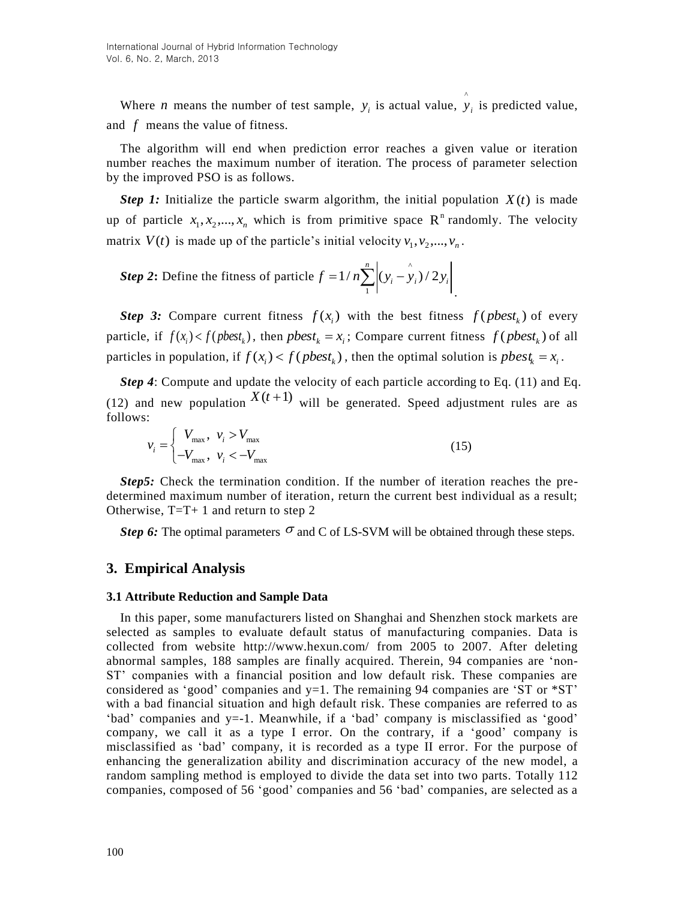Where *n* means the number of test sample,  $y_i$  is actual value,  $\hat{y}$  $y_i$  is predicted value, and *f* means the value of fitness.

The algorithm will end when prediction error reaches a given value or iteration number reaches the maximum number of iteration. The process of parameter selection by the improved PSO is as follows.

*Step 1:* Initialize the particle swarm algorithm, the initial population  $X(t)$  is made up of particle  $x_1, x_2, ..., x_n$  which is from primitive space  $\mathbb{R}^n$  randomly. The velocity matrix  $V(t)$  is made up of the particle's initial velocity  $v_1, v_2, ..., v_n$ .

*Step* 2: Define the fitness of particle  $f = 1/n \sum_{i=1}^{n} (y_i - \hat{y}_i)$ 1  $1/n \sum_{i=1}^{n} (y_i - y_i)/2$  $f = 1/n \sum_{i=1}^{n} (y_i - y_i)/2y_i$ .

**Step 3:** Compare current fitness  $f(x_i)$  with the best fitness  $f(\textit{pbest}_k)$  of every particle, if  $f(x_i) < f(\text{pbest}_k)$ , then  $\text{pbest}_k = x_i$ ; Compare current fitness  $f(\text{pbest}_k)$  of all particles in population, if  $f(x_i) < f(\text{pbest}_k)$ , then the optimal solution is  $\text{pbest}_k = x_i$ .

*Step 4*: Compute and update the velocity of each particle according to Eq. (11) and Eq. (12) and new population  $X(t+1)$  will be generated. Speed adjustment rules are as follows:

$$
v_i = \begin{cases} V_{\text{max}}, & v_i > V_{\text{max}} \\ -V_{\text{max}}, & v_i < -V_{\text{max}} \end{cases} \tag{15}
$$

*Step5:* Check the termination condition. If the number of iteration reaches the predetermined maximum number of iteration, return the current best individual as a result; Otherwise,  $T=T+1$  and return to step 2

*Step* 6: The optimal parameters  $\sigma$  and C of LS-SVM will be obtained through these steps.

# **3. Empirical Analysis**

#### **3.1 Attribute Reduction and Sample Data**

In this paper, some manufacturers listed on Shanghai and Shenzhen stock markets are selected as samples to evaluate default status of manufacturing companies. Data is collected from website <http://www.hexun.com/> from 2005 to 2007. After deleting abnormal samples, 188 samples are finally acquired. Therein, 94 companies are 'non-ST' companies with a financial position and low default risk. These companies are considered as 'good' companies and  $y=1$ . The remaining 94 companies are 'ST or  $*ST$ ' with a bad financial situation and high default risk. These companies are referred to as 'bad' companies and y=-1. Meanwhile, if a 'bad' company is misclassified as 'good' company, we call it as a type I error. On the contrary, if a 'good' company is misclassified as 'bad' company, it is recorded as a type II error. For the purpose of enhancing the generalization ability and discrimination accuracy of the new model, a random sampling method is employed to divide the data set into two parts. Totally 112 companies, composed of 56 'good' companies and 56 'bad' companies, are selected as a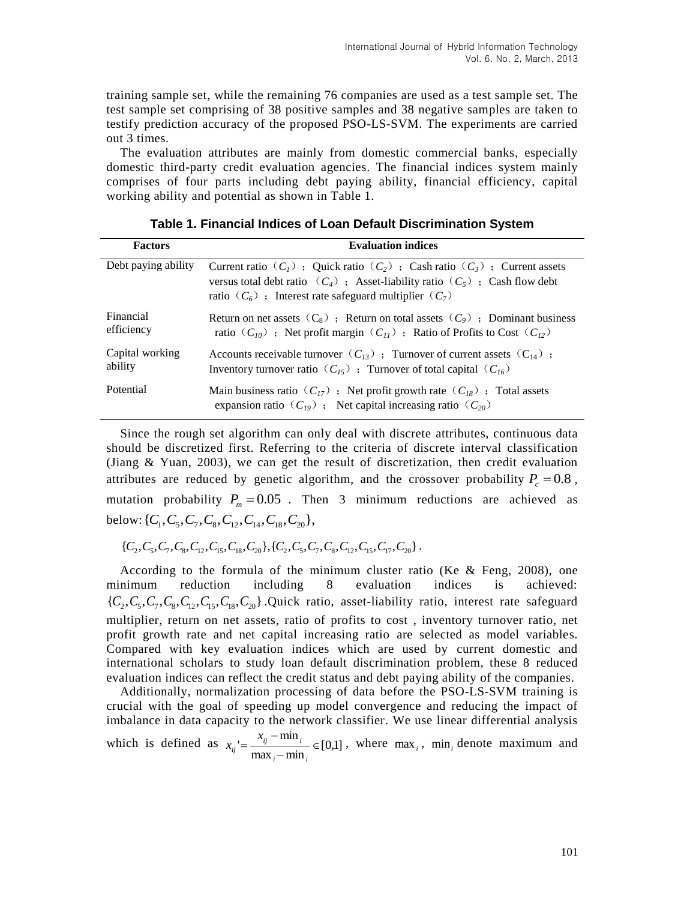training sample set, while the remaining 76 companies are used as a test sample set. The test sample set comprising of 38 positive samples and 38 negative samples are taken to testify prediction accuracy of the proposed PSO-LS-SVM. The experiments are carried out 3 times.

The evaluation attributes are mainly from domestic commercial banks, especially domestic third-party credit evaluation agencies. The financial indices system mainly comprises of four parts including debt paying ability, financial efficiency, capital working ability and potential as shown in Table 1.

| <b>Factors</b>             | <b>Evaluation indices</b>                                                                                                                                                                                                           |
|----------------------------|-------------------------------------------------------------------------------------------------------------------------------------------------------------------------------------------------------------------------------------|
| Debt paying ability        | Current ratio $(C_1)$ ; Quick ratio $(C_2)$ ; Cash ratio $(C_3)$ ; Current assets<br>versus total debt ratio $(C_4)$ ; Asset-liability ratio $(C_5)$ ; Cash flow debt<br>ratio $(C_6)$ ; Interest rate safeguard multiplier $(C_7)$ |
| Financial<br>efficiency    | Return on net assets $(C_8)$ ; Return on total assets $(C_9)$ ; Dominant business<br>ratio $(C_{10})$ ; Net profit margin $(C_{11})$ ; Ratio of Profits to Cost $(C_{12})$                                                          |
| Capital working<br>ability | Accounts receivable turnover $(C_{13})$ ; Turnover of current assets $(C_{14})$ ;<br>Inventory turnover ratio $(C_{15})$ ; Turnover of total capital $(C_{16})$                                                                     |
| Potential                  | Main business ratio $(C_{17})$ ; Net profit growth rate $(C_{18})$ ; Total assets<br>expansion ratio $(C_{19})$ ; Net capital increasing ratio $(C_{20})$                                                                           |

**Table 1. Financial Indices of Loan Default Discrimination System**

Since the rough set algorithm can only deal with discrete attributes, continuous data should be discretized first. Referring to the criteria of discrete interval classification (Jiang & Yuan, 2003), we can get the result of discretization, then credit evaluation attributes are reduced by genetic algorithm, and the crossover probability  $P_c = 0.8$ , mutation probability  $P_m = 0.05$ . Then 3 minimum reductions are achieved as below:  $\{C_1, C_5, C_7, C_8, C_{12}, C_{14}, C_{18}, C_{20}\},\$ 

 ${C_1, C_2, C_3, C_1, C_2, C_{15}, C_{18}, C_{18}, C_{20}}, {C_2, C_5, C_6, C_7, C_8, C_{12}, C_{15}, C_{17}, C_{20}}$ 

According to the formula of the minimum cluster ratio (Ke  $&$  Feng, 2008), one minimum reduction including 8 evaluation indices is achieved: minimum reduction including 8 evaluation indices is achieved:<br> $\{C_2, C_5, C_7, C_8, C_{12}, C_{15}, C_{18}, C_{20}\}$ . Quick ratio, asset-liability ratio, interest rate safeguard multiplier, return on net assets, ratio of profits to cost , inventory turnover ratio, net profit growth rate and net capital increasing ratio are selected as model variables. Compared with key evaluation indices which are used by current domestic and international scholars to study loan default discrimination problem, these 8 reduced evaluation indices can reflect the credit status and debt paying ability of the companies.

Additionally, normalization processing of data before the PSO-LS-SVM training is crucial with the goal of speeding up model convergence and reducing the impact of imbalance in data capacity to the network classifier. We use linear differential analysis

which is defined as  $x_{ii} = \frac{x_{ij} + \min_i}{i} \in [0,1]$  $max_i - min$  $y = \frac{x_{ij} - \min_i}{\cdot} \in$  $\overline{a}$  $\overline{a}$  $=$  $\sum_i$   $\sum_i$  **i i** *i*  $\sum_i$  $_{ij}$  –  $_{\rm mm}$   $_{i}$ *ij x*  $x_{ii} = \frac{x_{ij} + \min_i}{1 - \min_i} \in [0,1]$ , where max<sub>*i*</sub>, min<sub>*i*</sub> denote maximum and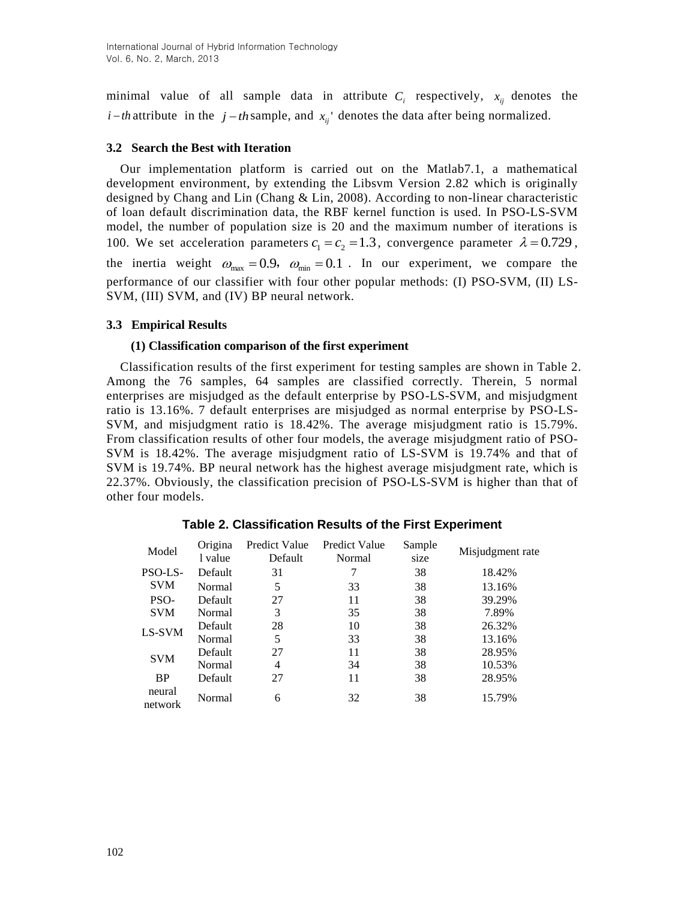minimal value of all sample data in attribute  $C_i$  respectively,  $x_{ij}$  denotes the *i*-*th* attribute in the *j*-*th* sample, and  $x_{ij}$  denotes the data after being normalized.

## **3.2 Search the Best with Iteration**

Our implementation platform is carried out on the Matlab7.1, a mathematical development environment, by extending the Libsvm Version 2.82 which is originally designed by Chang and Lin (Chang & Lin, 2008). According to non-linear characteristic of loan default discrimination data, the RBF kernel function is used. In PSO-LS-SVM model, the number of population size is 20 and the maximum number of iterations is 100. We set acceleration parameters  $c_1 = c_2 = 1.3$ , convergence parameter  $\lambda = 0.729$ , the inertia weight  $\omega_{\text{max}} = 0.9$ ,  $\omega_{\text{min}} = 0.1$ . In our experiment, we compare the performance of our classifier with four other popular methods: (I) PSO-SVM, (II) LS-SVM, (III) SVM, and (IV) BP neural network.

## **3.3 Empirical Results**

#### **(1) Classification comparison of the first experiment**

Classification results of the first experiment for testing samples are shown in Table 2. Among the 76 samples, 64 samples are classified correctly. Therein, 5 normal enterprises are misjudged as the default enterprise by PSO-LS-SVM, and misjudgment ratio is 13.16%. 7 default enterprises are misjudged as normal enterprise by PSO-LS-SVM, and misjudgment ratio is 18.42%. The average misjudgment ratio is 15.79%. From classification results of other four models, the average misjudgment ratio of PSO-SVM is 18.42%. The average misjudgment ratio of LS-SVM is 19.74% and that of SVM is 19.74%. BP neural network has the highest average misjudgment rate, which is 22.37%. Obviously, the classification precision of PSO-LS-SVM is higher than that of other four models.

| Model             | Origina | Predict Value | <b>Predict Value</b> | Sample | Misjudgment rate |  |
|-------------------|---------|---------------|----------------------|--------|------------------|--|
|                   | 1 value | Default       | Normal               | size   |                  |  |
| PSO-LS-           | Default | 31            |                      | 38     | 18.42%           |  |
| <b>SVM</b>        | Normal  | 5             | 33                   | 38     | 13.16%           |  |
| PSO-              | Default | 27            | 11                   | 38     | 39.29%           |  |
| <b>SVM</b>        | Normal  | 3             | 35                   | 38     | 7.89%            |  |
| LS-SVM            | Default | 28            | 10                   | 38     | 26.32%           |  |
|                   | Normal  | 5             | 33                   | 38     | 13.16%           |  |
| <b>SVM</b>        | Default | 27            | 11                   | 38     | 28.95%           |  |
|                   | Normal  | 4             | 34                   | 38     | 10.53%           |  |
| <b>BP</b>         | Default | 27            | 11                   | 38     | 28.95%           |  |
| neural<br>network | Normal  | 6             | 32                   | 38     | 15.79%           |  |

## **Table 2. Classification Results of the First Experiment**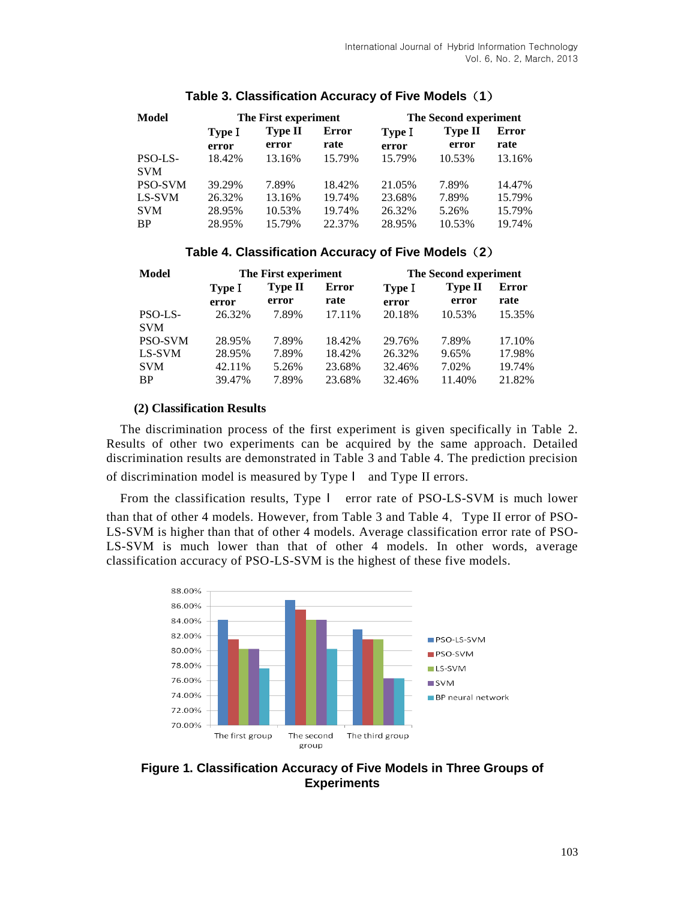| <b>Model</b>          | The First experiment |                  |                      | The Second experiment |                  |               |
|-----------------------|----------------------|------------------|----------------------|-----------------------|------------------|---------------|
|                       | Type I<br>error      | Type II<br>error | <b>Error</b><br>rate | Type I<br>error       | Type II<br>error | Error<br>rate |
| PSO-LS-<br><b>SVM</b> | 18.42%               | 13.16%           | 15.79%               | 15.79%                | 10.53%           | 13.16%        |
| <b>PSO-SVM</b>        | 39.29%               | 7.89%            | 18.42%               | 21.05%                | 7.89%            | 14.47%        |
| LS-SVM                | 26.32%               | 13.16%           | 19.74%               | 23.68%                | 7.89%            | 15.79%        |
| <b>SVM</b>            | 28.95%               | 10.53%           | 19.74%               | 26.32%                | 5.26%            | 15.79%        |
| <b>BP</b>             | 28.95%               | 15.79%           | 22.37%               | 28.95%                | 10.53%           | 19.74%        |

# **Table 3. Classification Accuracy of Five Models**(**1**)

# **Table 4. Classification Accuracy of Five Models**(**2**)

| Model                   | The First experiment |                         |                  | The Second experiment |                  |                      |
|-------------------------|----------------------|-------------------------|------------------|-----------------------|------------------|----------------------|
|                         | Type I<br>error      | <b>Type II</b><br>error | Error<br>rate    | Type I<br>error       | Type II<br>error | <b>Error</b><br>rate |
| PSO-LS-<br><b>SVM</b>   | 26.32%               | 7.89%                   | 17.11%           | 20.18%                | 10.53%           | 15.35%               |
| <b>PSO-SVM</b>          | 28.95%               | 7.89%                   | 18.42%           | 29.76%                | 7.89%            | 17.10%               |
| LS-SVM                  | 28.95%               | 7.89%                   | 18.42%           | 26.32%                | 9.65%            | 17.98%               |
| <b>SVM</b><br><b>BP</b> | 42.11%<br>39.47%     | 5.26%<br>7.89%          | 23.68%<br>23.68% | 32.46%<br>32.46%      | 7.02%<br>11.40%  | 19.74%<br>21.82%     |

## **(2) Classification Results**

The discrimination process of the first experiment is given specifically in Table 2. Results of other two experiments can be acquired by the same approach. Detailed discrimination results are demonstrated in Table 3 and Table 4. The prediction precision of discrimination model is measured by Type І and Type II errors.

From the classification results, Type І error rate of PSO-LS-SVM is much lower than that of other 4 models. However, from Table 3 and Table 4, Type II error of PSO-LS-SVM is higher than that of other 4 models. Average classification error rate of PSO-LS-SVM is much lower than that of other 4 models. In other words, average classification accuracy of PSO-LS-SVM is the highest of these five models.



**Figure 1. Classification Accuracy of Five Models in Three Groups of Experiments**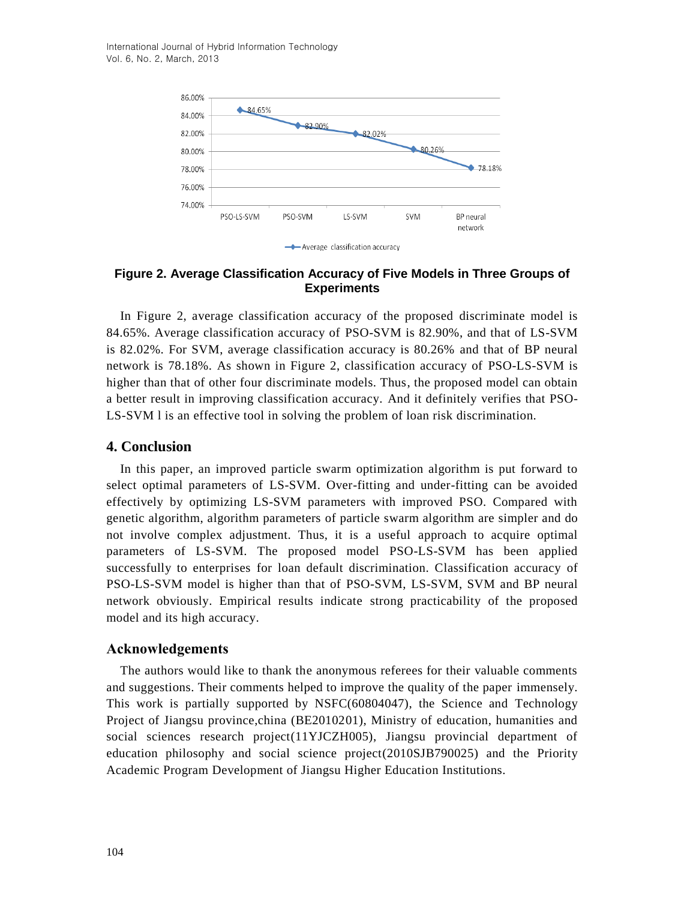International Journal of Hybrid Information Technology Vol. 6, No. 2, March, 2013



**Figure 2. Average Classification Accuracy of Five Models in Three Groups of Experiments**

In Figure 2, average classification accuracy of the proposed discriminate model is 84.65%. Average classification accuracy of PSO-SVM is 82.90%, and that of LS-SVM is 82.02%. For SVM, average classification accuracy is 80.26% and that of BP neural network is 78.18%. As shown in Figure 2, classification accuracy of PSO-LS-SVM is higher than that of other four discriminate models. Thus, the proposed model can obtain a better result in improving classification accuracy. And it definitely verifies that PSO-LS-SVM l is an effective tool in solving the problem of loan risk discrimination.

#### **4. Conclusion**

In this paper, an improved particle swarm optimization algorithm is put forward to select optimal parameters of LS-SVM. Over-fitting and under-fitting can be avoided effectively by optimizing LS-SVM parameters with improved PSO. Compared with genetic algorithm, algorithm parameters of particle swarm algorithm are simpler and do not involve complex adjustment. Thus, it is a useful approach to acquire optimal parameters of LS-SVM. The proposed model PSO-LS-SVM has been applied successfully to enterprises for loan default discrimination. Classification accuracy of PSO-LS-SVM model is higher than that of PSO-SVM, LS-SVM, SVM and BP neural network obviously. Empirical results indicate strong practicability of the proposed model and its high accuracy.

## **Acknowledgements**

The authors would like to thank the anonymous referees for their valuable comments and suggestions. Their comments helped to improve the quality of the paper immensely. This work is partially supported by NSFC(60804047), the Science and Technology Project of Jiangsu province,china (BE2010201), Ministry of education, humanities and social sciences research project(11YJCZH005), Jiangsu provincial department of education philosophy and social science project(2010SJB790025) and the Priority Academic Program Development of Jiangsu Higher Education Institutions.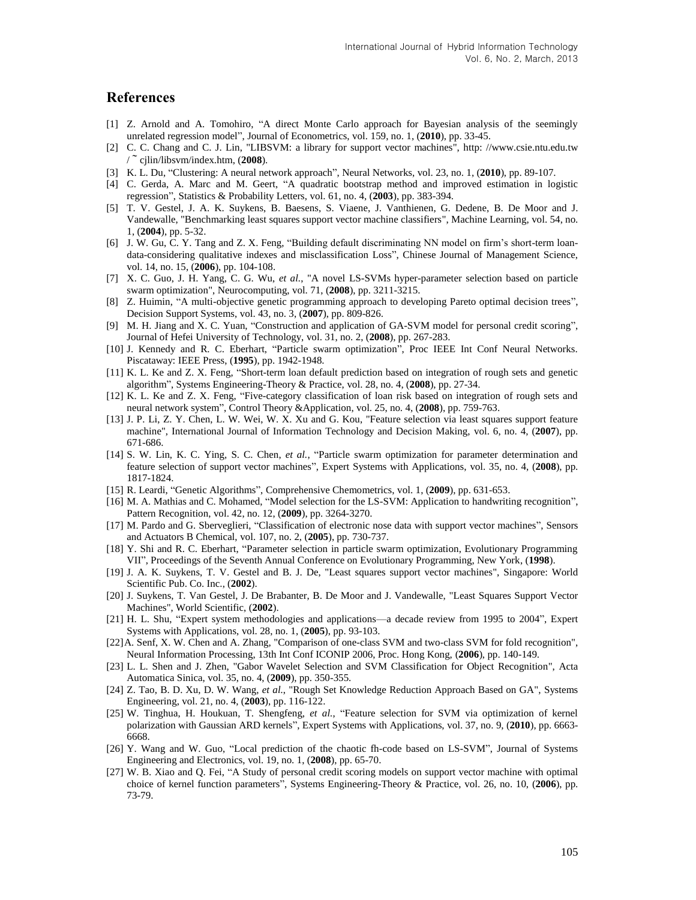## **References**

- [1] Z. Arnold and A. Tomohiro, "A direct Monte Carlo approach for Bayesian analysis of the seemingly unrelated regression model", Journal of Econometrics, vol. 159, no. 1, (**2010**), pp. 33-45.
- [2] C. C. Chang and C. J. Lin, "LIBSVM: a library for support vector machines", http: //www.csie.ntu.edu.tw /~cjlin/libsvm/index.htm, (**2008**).
- [3] K. L. Du, "Clustering: A neural network approach", Neural Networks, vol. 23, no. 1, (**2010**), pp. 89-107.
- [4] C. Gerda, A. Marc and M. Geert, "A quadratic bootstrap method and improved estimation in logistic regression", Statistics & Probability Letters, vol. 61, no. 4, (**2003**), pp. 383-394.
- [5] T. V. Gestel, J. A. K. Suykens, B. Baesens, S. Viaene, J. Vanthienen, G. Dedene, B. De Moor and J. Vandewalle, "Benchmarking least squares support vector machine classifiers", Machine Learning, vol. 54, no. 1, (**2004**), pp. 5-32.
- [6] J. W. Gu, C. Y. Tang and Z. X. Feng, "Building default discriminating NN model on firm's short-term loandata-considering qualitative indexes and misclassification Loss", Chinese Journal of Management Science, vol. 14, no. 15, (**2006**), pp. 104-108.
- [7] X. C. Guo, J. H. Yang, C. G. Wu, *et al.*, "A novel LS-SVMs hyper-parameter selection based on particle swarm optimization", Neurocomputing, vol. 71, (**2008**), pp. 3211-3215.
- [8] Z. Huimin, "A multi-objective genetic programming approach to developing Pareto optimal decision trees", Decision Support Systems, vol. 43, no. 3, (**2007**), pp. 809-826.
- [9] M. H. Jiang and X. C. Yuan, "Construction and application of GA-SVM model for personal credit scoring", Journal of Hefei University of Technology, vol. 31, no. 2, (**2008**), pp. 267-283.
- [10] J. Kennedy and R. C. Eberhart, "Particle swarm optimization", Proc IEEE Int Conf Neural Networks. Piscataway: IEEE Press, (**1995**), pp. 1942-1948.
- [11] K. L. Ke and Z. X. Feng, "Short-term loan default prediction based on integration of rough sets and genetic algorithm", Systems Engineering-Theory & Practice, vol. 28, no. 4, (**2008**), pp. 27-34.
- [12] K. L. Ke and Z. X. Feng, "Five-category classification of loan risk based on integration of rough sets and neural network system", Control Theory &Application, vol. 25, no. 4, (**2008**), pp. 759-763.
- [13] J. P. Li, Z. Y. Chen, L. W. Wei, W. X. Xu and G. Kou, "Feature selection via least squares support feature machine", International Journal of Information Technology and Decision Making, vol. 6, no. 4, (**2007**), pp. 671-686.
- [14] S. W. Lin, K. C. Ying, S. C. Chen, *et al.*, "Particle swarm optimization for parameter determination and feature selection of support vector machines", Expert Systems with Applications, vol. 35, no. 4, (**2008**), pp. 1817-1824.
- [15] R. Leardi, "Genetic Algorithms", Comprehensive Chemometrics, vol. 1, (**2009**), pp. 631-653.
- [16] M. A. Mathias and C. Mohamed, "Model selection for the LS-SVM: Application to handwriting recognition", Pattern Recognition, vol. 42, no. 12, (**2009**), pp. 3264-3270.
- [17] M. Pardo and G. Sberveglieri, "Classification of electronic nose data with support vector machines", Sensors and Actuators B Chemical, vol. 107, no. 2, (**2005**), pp. 730-737.
- [18] Y. Shi and R. C. Eberhart, "Parameter selection in particle swarm optimization, Evolutionary Programming VII", Proceedings of the Seventh Annual Conference on Evolutionary Programming, New York, (**1998**).
- [19] J. A. K. Suykens, T. V. Gestel and B. J. De, "Least squares support vector machines", Singapore: World Scientific Pub. Co. Inc., (**2002**).
- [20] J. Suykens, T. Van Gestel, J. De Brabanter, B. De Moor and J. Vandewalle, "Least Squares Support Vector Machines", World Scientific, (**2002**).
- [21] H. L. Shu, "Expert system methodologies and applications—a decade review from 1995 to 2004", Expert Systems with Applications, vol. 28, no. 1, (**2005**), pp. 93-103.
- [22]A. Senf, X. W. Chen and A. Zhang, "Comparison of one-class SVM and two-class SVM for fold recognition", Neural Information Processing, 13th Int Conf ICONIP 2006, Proc. Hong Kong, (**2006**), pp. 140-149.
- [23] L. L. Shen and J. Zhen, "Gabor Wavelet Selection and SVM Classification for Object Recognition", Acta Automatica Sinica, vol. 35, no. 4, (**2009**), pp. 350-355.
- [24] Z. Tao, B. D. Xu, D. W. Wang, *et al.*, "Rough Set Knowledge Reduction Approach Based on GA", Systems Engineering, vol. 21, no. 4, (**2003**), pp. 116-122.
- [25] W. Tinghua, H. Houkuan, T. Shengfeng, *et al.*, "Feature selection for SVM via optimization of kernel polarization with Gaussian ARD kernels", Expert Systems with Applications, vol. 37, no. 9, (**2010**), pp. 6663- 6668.
- [26] Y. Wang and W. Guo, "Local prediction of the chaotic fh-code based on LS-SVM", Journal of Systems Engineering and Electronics, vol. 19, no. 1, (**2008**), pp. 65-70.
- [27] W. B. Xiao and Q. Fei, "A Study of personal credit scoring models on support vector machine with optimal choice of kernel function parameters", Systems Engineering-Theory & Practice, vol. 26, no. 10, (**2006**), pp. 73-79.